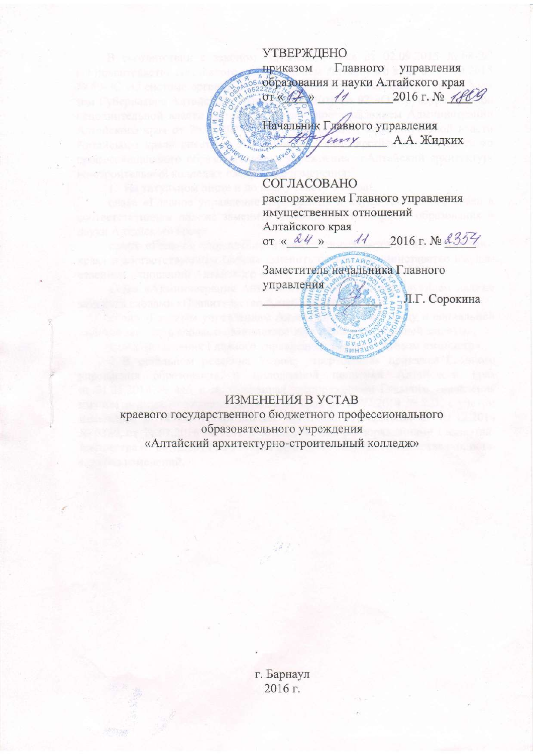## **УТВЕРЖДЕНО**

АНИ С

управления Главного приказом образования и науки Алтайского края OT Koff  $\overline{\mathcal{U}}$  $2016 \text{ r.}$  No  $780$ 

Начальник Главного управления uny А.А. Жидких

СОГЛАСОВАНО распоряжением Главного управления имущественных отношений Алтайского края 2016 г. № 2354 or  $\frac{\alpha 44}{}$  $\mathcal{U}$ 

ANTAM Заместитель начальника Главного управления

Л.Г. Сорокина

## ИЗМЕНЕНИЯ В УСТАВ

краевого государственного бюджетного профессионального образовательного учреждения «Алтайский архитектурно-строительный колледж»

 $382.$ 

г. Барнаул 2016 г.